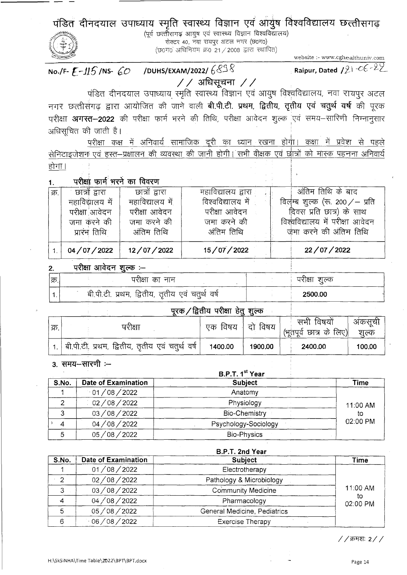पंडित दीनदयाल उपाध्याय स्मृति स्वास्थ्य विज्ञान एवं आयुष विश्वविद्यालय छत्तीसगढ़

(पूर्व छत्तीसगढ आयुष एवं स्वास्थ्य विज्ञान विश्वविद्यालय) सेक्टर 40, नवा रायपुर अटल नगर (छ0ग0)  $(50T0)$  अधिनियम क्र0 21 / 2008 द्वारा स्थापित)

website :- www.cghealthuniv.com Raipur, Dated  $121 - C6 - 22$ 

/DUHS/EXAM/2022/ $68$ No./F-  $F - 115$ /NS- 60  $//$  अधिसूचना  $//$ 

पंडित दीनदयाल उपाध्याय रमृति स्वास्थ्य विज्ञान एवं आयुष विश्वविद्यालय, नवा रायपुर अटल नगर छत्तीसँगढ द्वारा आयोजित की जाने वाली **बी.पी.टी. प्रथम, द्वितीय, तृतीय एवं चतुर्थ वर्ष** की पुरक परीक्षा **अगस्त–2022** की परीक्षा फार्म भरने की तिथि, परीक्षा आवेदन शुल्क एवं समय–सारिणी निम्नानसार अधिसूचित की जाती है।

परीक्षा कक्ष में अनिवार्य सामाजिक दूरी का ध्यान रखना होगा। कक्षा में प्रवेश से पहले सेनिटाइजेशन एवं हस्त–प्रक्षालन की व्यवस्था की जानी होगी। सभी वीक्षक एवं छात्रों को मास्क पहनना अनिवार्य होगा।

| 1. |  |  | परीक्षा फार्म भरने का विवरण |
|----|--|--|-----------------------------|
|    |  |  |                             |

| क्र. | छात्रों द्वारा  | छात्रों द्वारा  | महाविद्यालय द्वारा | ्<br>अंतिम तिथि के बाद            |
|------|-----------------|-----------------|--------------------|-----------------------------------|
|      | महाविद्यालय में | महाविद्यालय में | विश्वविद्यालय में  | विलम्ब शूल्क (रू. 200 $/$ – प्रति |
|      | परीक्षा आवेदन   | परीक्षा आवेदन   | परीक्षा आवेदन      | दिवस प्रति छात्र) के साथ          |
|      | जमा करने की     | जमा करने की     | जमा करने की        | विश्वविद्यालय में परीक्षा आवेदन   |
|      | प्रारंभ तिथि    | अंतिम तिथि      | अंतिम तिथि         | जमा करने की अंतिम तिथि            |
|      | 04/07/2022      | 12/07/2022      | 15/07/2022         | 22/07/2022                        |

परीक्षा आवेदन शुल्क :-- $\overline{2}$ .

| क्र | परीक्षा का नाम                                  | पराक्षा<br>शुल्क |
|-----|-------------------------------------------------|------------------|
|     | बी.पी.टी. प्रथम, द्वितीय, तृतीय एवं चतुर्थ वर्ष | 2500.00          |

# परक / द्वितीय परीक्षा हेत शल्क

| ेक्र. | परीक्षा                                                      | विषय<br>एकः | दो विषय | सभी विषयों<br>' (भूतपूर्व छात्र के लिए) | अकसची<br>शल्क |
|-------|--------------------------------------------------------------|-------------|---------|-----------------------------------------|---------------|
|       | <sup> </sup> बी.पी.टी. प्रथम, द्वितीय, तृतीय एवं चतुर्थ वर्ष | 1400.00     | 1900.00 | 2400.00                                 | 100.00        |

3. समय-सारणी :-

#### B.P.T. 1st Year **Date of Examination Subject**  $S.No.$ **Time**  $01/08/2022$ Anatomy  $\mathbf{1}$  $\frac{1}{02}/08/2022$  $\overline{2}$ Physiology 11:00 AM  $\overline{3}$ 03/08/2022 **Bio-Chemistry** to. 02:00 PM 04/08/2022 Psychology-Sociology  $\overline{4}$ 05/08/2022 5 **Bio-Physics**

|                |                            | B.P.I. Zna rear              |                |
|----------------|----------------------------|------------------------------|----------------|
| S.No.          | <b>Date of Examination</b> | <b>Subject</b>               | Time           |
|                | 01/08/2022                 | Electrotherapy               |                |
| $\overline{2}$ | 02/08/2022                 | Pathology & Microbiology     |                |
|                | 03/08/2022                 | Community Medicine           | 11:00 AM       |
| 4              | 04/08/2022                 | Pharmacology                 | to<br>02:00 PM |
| 5              | 05/08/2022                 | General Medicine, Pediatrics |                |
| 6              | $-06/08/2022$              | <b>Exercise Therapy</b>      |                |

//क्रमशः 2//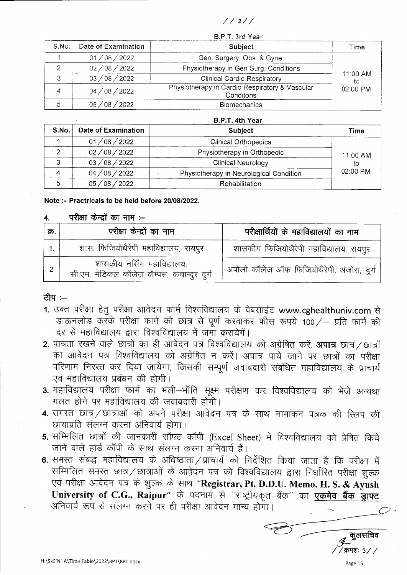$1/21/$ 

 $2DT$  4th  $V_{0.2}$ 

|       | B.P.T. 3rd Year     |                                                             |                  |  |
|-------|---------------------|-------------------------------------------------------------|------------------|--|
| S.No. | Date of Examination | Subject                                                     | Time             |  |
|       | 108 / 2022<br>01    | Gen. Surgery, Obs. & Gyne.                                  |                  |  |
|       | 02/08/2022          | Physiotherapy in Gen Surg. Conditions                       |                  |  |
| っ     | 03/08/2022          | Clinical Cardio Respiratory                                 | $11:00$ AM<br>to |  |
|       | 04/08/2022          | Physiotherapy in Cardio Respiratory & Vascular<br>Conditons | $02:00$ PM       |  |
|       | 08 / 2022<br>05.    | <b>Biomechanics</b>                                         |                  |  |

|           |                            | D.F.I. HUI I CAI                        |            |
|-----------|----------------------------|-----------------------------------------|------------|
| S.No.     | <b>Date of Examination</b> | <b>Subject</b>                          | Time       |
|           | 01/08/2022                 | <b>Clinical Orthopedics</b>             |            |
| $\cdot$ 2 | 02/08/2022                 | Physiotherapy in Orthopedic             | 11:00 AM   |
| 3         | 03/08/2022                 | Clinical Neurology                      | to         |
|           | 04/08/2022                 | Physiotherapy in Neurological Condition | $02:00$ PM |
|           | 05/08/2022                 | Rehabilitation                          |            |
|           |                            |                                         |            |

## Note :- Practricals to be held before 20/08/2022.

### परीक्षा केन्द्रों का नाम :-- $\overline{4}$ .

| क्र. | परीक्षा केन्द्रों का नाम                                                  | परीक्षार्थियों के महाविद्यालयों का नाम     |
|------|---------------------------------------------------------------------------|--------------------------------------------|
|      | शास. फिजियोथैरेपी महाविद्यालय, रायपुर                                     | शासकीय फिजियोथैरेपी महाविद्यालय, रायपूर    |
|      | शासकीय नर्सिंग महाविद्यालय,<br>सी.एम. मेडिकल कॉलेज कैम्पस, कचान्दुर दुर्ग | अपोलो कॉलेज ऑफ फिजियोथैरेपी, अंजोरा, दुर्ग |

## ਟੀਧ :--

- 1. उक्त परीक्षा हेतु परीक्षा आवेदन फार्म विश्वविद्यालय के वेबसाईट www.cghealthuniv.com से डाऊनलोड करके परीक्षा फार्म को छात्र से पूर्ण करवाकर फीस रूपये 100/- प्रति फार्म की दर से महाविद्यालय द्वारा विश्वविद्यालय में जमा करायेगें।
- 2. पात्रता रखने वाले छात्रों का ही आवेदन पत्र विश्वविद्यालय को अग्रेषित करें, अपात्र छात्र / छात्रों का आवेदन पत्र विश्वविद्यालय को अंग्रेषित न करें। अपात्र पाये जाने पर छात्रों का परीक्षा परिणाम निरस्त कर दिया जायेगा, जिसकी सम्पूर्ण जवाबदारी संबंधित महाविद्यालय के प्राचार्य एवं महाविद्यालय प्रबंधन की होगी।
- 3. महाविद्यालय परीक्षा फार्म का भली-भॉति सूक्ष्म परीक्षण कर विश्वविद्यालय को भेजे अन्यथा गलत होने पर महाविद्यालय की जवाबदारी होगी।
- 4. समस्त छात्र / छात्राओं को अपने परीक्षा आवेदन पत्र के साथ नामांकन पत्रक की स्लिप की छायाप्रति संलग्न करना अनिवार्य होगा।
- 5. सम्मिलित छात्रों की जानकारी सॉफ्ट कॉपी (Excel Sheet) में विश्वविद्यालय को प्रेषित किये जाने वाले हार्ड कॉपी के साथ संलग्न करना अनिवार्य है।
- 6. समस्त संबद्ध महाविद्यालय के अधिष्ठाता / प्राचार्य को निर्देशित किया जाता है कि परीक्षा में सम्मिलित समस्त छात्र / छात्राओं के आवेदन पत्र को विश्वविद्यालय द्वारा निर्धारित परीक्षा शुल्क एवं परीक्षा आवेदन पत्र के शुल्क के साथ "Registrar, Pt. D.D.U. Memo. H. S. & Ayush University of C.G., Raipur" के पदनाम से "राष्ट्रीयकृत बैंक" का एकमेव बैंक ड्राफ्ट अनिवार्य रूप से संलग्न करने पर ही परीक्षा आवेदन मान्य होगा।

क्रमश: ३ ⁄

Page 15